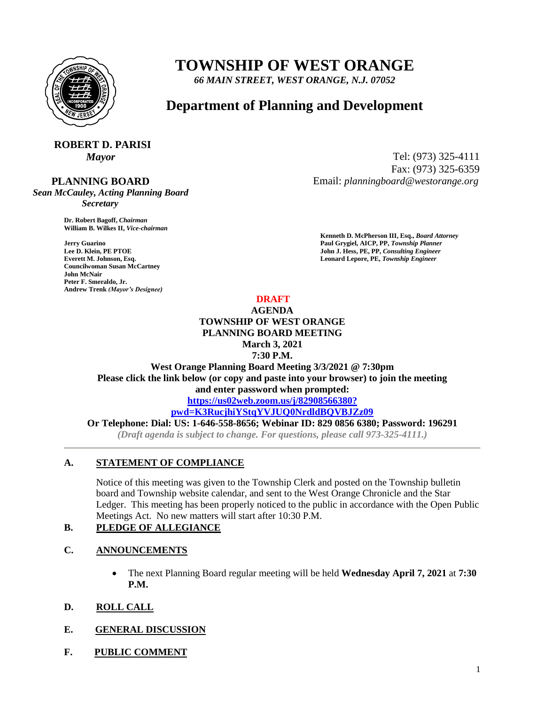

# **TOWNSHIP OF WEST ORANGE**

*66 MAIN STREET, WEST ORANGE, N.J. 07052*

# **Department of Planning and Development**

# **ROBERT D. PARISI**

#### **PLANNING BOARD**

*Sean McCauley, Acting Planning Board Secretary*

> **Dr. Robert Bagoff,** *Chairman*  **William B. Wilkes II,** *Vice-chairman*

**Councilwoman Susan McCartney John McNair Peter F. Smeraldo, Jr. Andrew Trenk** *(Mayor's Designee)*

*Mayor* Tel: (973) 325-4111 Fax: (973) 325-6359 Email: *planningboard@westorange.org*

**Kenneth D. McPherson III, Esq.,** *Board Attorney*  **Jerry Guarino Paul Grygiel, AICP, PP,** *Township Planner*  **Lee D. Klein, PE PTOE** John J. Hess, PE, PP, *Consulting Engineer* John J. Hess, PE, PP, *Consulting Engineer* **Everett M. Johnson, Esq.** Leonard Lepore, PE, Township Engineer

#### **DRAFT**

#### **AGENDA TOWNSHIP OF WEST ORANGE PLANNING BOARD MEETING March 3, 2021 7:30 P.M.**

**West Orange Planning Board Meeting 3/3/2021 @ 7:30pm Please click the link below (or copy and paste into your browser) to join the meeting and enter password when prompted:**

**<https://us02web.zoom.us/j/82908566380?>**

**[pwd=K3RucjhiYStqYVJUQ0NrdldBQVBJZz09](https://us02web.zoom.us/j/82908566380?)**

**Or Telephone: Dial: US: 1-646-558-8656; Webinar ID: 829 0856 6380; Password: 196291** *(Draft agenda is subject to change. For questions, please call 973-325-4111.)*

#### **A. STATEMENT OF COMPLIANCE**

Notice of this meeting was given to the Township Clerk and posted on the Township bulletin board and Township website calendar, and sent to the West Orange Chronicle and the Star Ledger. This meeting has been properly noticed to the public in accordance with the Open Public Meetings Act. No new matters will start after 10:30 P.M.

#### **B. PLEDGE OF ALLEGIANCE**

#### **C. ANNOUNCEMENTS**

 The next Planning Board regular meeting will be held **Wednesday April 7, 2021** at **7:30 P.M.**

### **D. ROLL CALL**

#### **E. GENERAL DISCUSSION**

**F. PUBLIC COMMENT**